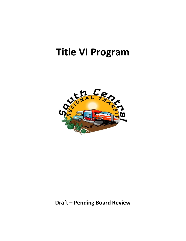# **Title VI Program**



**Draft – Pending Board Review**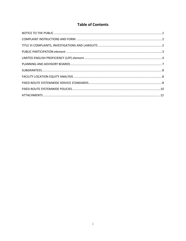# **Table of Contents**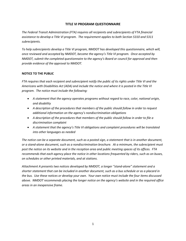# **TITLE VI PROGRAM QUESTIONNAIRE**

*The Federal Transit Administration (FTA) requires all recipients and subrecipients of FTA financial assistance to develop a Title VI program. The requirement applies to both Section 5310 and 5311 subrecipients.*

*To help subrecipients develop a Title VI program, NMDOT has developed this questionnaire, which will, once reviewed and accepted by NMDOT, become the agency's Title VI program. Once accepted by NMDOT, submit the completed questionnaire to the agency's Board or council for approval and then provide evidence of the approval to NMDOT.*

#### <span id="page-2-0"></span>**NOTICE TO THE PUBLIC**

*FTA requires that each recipient and subrecipient notify the public of its rights under Title VI and the Americans with Disabilities Act (ADA) and include the notice and where it is posted in the Title VI program. The notice must include the following:*

- *A statement that the agency operates programs without regard to race, color, national origin, and disability*
- *A description of the procedures that members of the public should follow in order to request additional information on the agency's nondiscrimination obligations*
- *A description of the procedures that members of the public should follow in order to file a discrimination complaint*
- *A statement that the agency's Title VI obligations and complaint procedures will be translated into other languages as needed*

*The notice can be a separate document, such as a posted sign, a statement that is in another document, or a stand-alone document, such as a nondiscrimination brochure. At a minimum, the subrecipient must post the notice on its website and in the reception area and public meeting spaces of its offices. FTA recommends that each agency place the notice in other locations frequented by riders, such as on buses, on schedules or other printed materials, and at stations.*

*Attachment A presents two notices developed by NMDOT, a longer "stand-alone" statement and a shorter statement that can be included in another document, such as a bus schedule or as a placard in the bus. Use these notices or develop your own. Your own notice must include the four items discussed above. NMDOT recommends placing the longer notice on the agency's website and in the required office areas in an inexpensive frame.*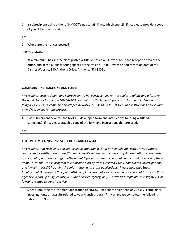1. Is subrecipient using either of NMDOT's notice(s)? If yes, which one(s)? If no, please provide a copy of your Title VI notice(s).

Yes

2. Where are the notices posted?

# SCRTD Website

3. At a minimum, has subrecipient posted a Title VI notice on its website, in the reception area of the office, and in the public meeting spaces of the office? SCRTD website and reception area of the District Website, 830 Anthony Drive, Anthony, NM 88021

# <span id="page-3-0"></span>**COMPLAINT INSTRUCTIONS AND FORM**

*FTA requires each recipient and subrecipient to have instructions for the public to follow and a form for the public to use for filing a Title VI/ADA complaint. Attachment B presents a form and instructions for filing a Title VI/ADA complaint developed by NMDOT. Use the NMDOT form and instructions or use your own if it provides for due process.*

4. Has subrecipient adopted the NMDOT-developed form and instructions for filing a Title VI complaint? If no, please attach a copy of the form and instructions that are used.

Yes.

# <span id="page-3-1"></span>**TITLE VI COMPLAINTS, INVESTIGATIONS AND LAWSUITS**

*FTA requires that recipients and subrecipients maintain a list of any complaints, active investigations conducted by entities other than FTA, and lawsuits relating to allegations of discrimination on the basis of race, color, or national origin. Attachment C presents a sample log that can be used for tracking these items. Also, the Title VI program must include a list of transit-related Title VI complaints, investigations, and lawsuits. NMDOT obtains this information with grant applications. Please note that Equal Employment Opportunity (EEO) and ADA complaints are not Title VI complaints so do not list them. If the agency is a part of a city, county, or human service agency, only list Title VI complaints, investigations, or lawsuits related to transit service.*

5. Since submitting the last grant application to NMDOT, has subrecipient had any Title VI complaints, investigations, or lawsuits related to your transit program? If yes, please complete the following table. No.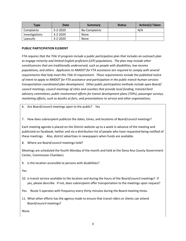| Type           | Date           | Summary       | <b>Status</b> | <b>Action(s) Taken</b> |
|----------------|----------------|---------------|---------------|------------------------|
| Complaints     | $3 - 2 - 2020$ | No Complaints |               | N/A                    |
| Investigations | $3 - 2 - 2020$ | None          |               |                        |
| Lawsuits       | $3 - 2 - 2020$ | <b>None</b>   |               |                        |

#### <span id="page-4-0"></span>**PUBLIC PARTICIPATION ELEMENT**

*FTA requires that the Title VI program include a public participation plan that includes an outreach plan to engage minority and limited English proficient (LEP) populations. The plan may include other constituencies that are traditionally underserved, such as people with disabilities, low-income populations, and others. Applicants to NMDOT for FTA assistance are required to comply with several requirements that help meet this Title VI requirement. These requirements include the published notice of intent to apply to NMDOT for FTA assistance and participation in the public transit-human services transportation coordinated plan development. Other public participation methods include open Board/ council meetings, council meetings of cities and counties that provide local funding, transit/client advisory committees, public involvement efforts for transit development plans (TDPs), passenger surveys, marketing efforts, such as booths at fairs, and presentations to service and other organizations.*

- 6. Are Board/council meetings open to the public? Yes
- 7. How does subrecipient publicize the dates, times, and locations of Board/council meetings?

Each meeting agenda is placed on the District website up to a week in advance of the meeting and publicized on facebook, twitter and via a distribution list of people who have requested being notified of these meetings. Also, district advertises in newspapers when funds are available.

8. Where are Board/council meetings held?

Meetings are scheduled the fourth Monday of the month and held at the Dona Ana County Government Center, Commission Chambers.

9. Is the location accessible to persons with disabilities?

Yes.

10. Is transit service available to the location and during the hours of the Board/council meetings? If yes, please describe. If not, does subrecipient offer transportation to the meetings upon request?

Yes. Route 5 operates with frequency every thirty minutes during the Board meeting times.

11. What other efforts has the agency made to ensure that transit riders or clients can attend Board/council meetings?

None.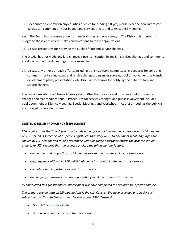12. Does subrecipient rely on any counties or cities for funding? If yes, please describe how interested parties can comment on your budget and services at city and town council meetings.

Yes. The Board has representation from several cities and one county. The District distributes its budget to these entities and makes presentations to these organizations.

13. Discuss procedures for notifying the public of fare and service changes.

The District has not made any fare changes since its inception in 2016. Services changes and comments are done via the Board meetings on a seasonal basis.

14. Discuss any other outreach efforts, including transit advisory committees, procedures for soliciting comments for fare increases and service changes, passenger surveys, public involvement for transit development plans, presentations, etc. Discuss procedures for notifying the public of fare and service changes.

The District maintains a Citizens Advisory Committee that reviews and provides input into service changes and fare modifications. Procedures for services changes and public involvement includes public comment at District Meetings, Special Meetings and Workshops. At these meetings the public is encouraged to provide comments.

# <span id="page-5-0"></span>**LIMITED ENGLISH PROFICIENCY (LEP) ELEMENT**

*FTA requires that the Title VI program include a plan for providing language assistance to LEP persons. An LEP person is someone who speaks English less than very well. To document what languages are spoken by LEP persons and to help determine what language assistance efforts the grantee should undertake, FTA requires that the grantee analyze the following four factors:*

- *the number and proportion of LEP persons served or encountered in your service area*
- *the frequency with which LEP individuals come into contact with your transit service*
- *the nature and importance of your transit service*
- *the language assistance resources potentially available to assist LEP persons*

*By completing this questionnaire, subrecipient will have completed the required four-factor analysis.*

*The primary source data on LEP populations is the U.S. Census. We have provided a table for each subrecipient to fill with Census data. To look up the 2010 Census data:*

- *Go to [US Census Fact Finder](http://factfinder2.census.gov/faces/nav/jsf/pages/index.xhtml?intcmp=sldr4)*
- *Search each county or city in the service area*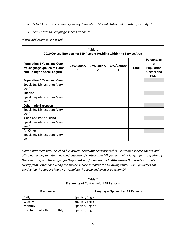- Select American Community Survey "Education, Marital Status, Relationships, Fertility..."
- *Scroll down to "language spoken at home"*

*Please add columns, if needed.*

| Table 1<br>2010 Census Numbers for LEP Persons Residing within the Service Area                  |             |             |             |              |                                                               |
|--------------------------------------------------------------------------------------------------|-------------|-------------|-------------|--------------|---------------------------------------------------------------|
| <b>Population 5 Years and Over</b><br>by Language Spoken at Home<br>and Ability to Speak English | City/County | City/County | City/County | <b>Total</b> | Percentage<br>οf<br><b>Population</b><br>5 Years and<br>Older |
| <b>Population 5 Years and Over</b>                                                               |             |             |             |              |                                                               |
| Speak English less than "very<br>well"                                                           |             |             |             |              |                                                               |
| <b>Spanish</b>                                                                                   |             |             |             |              |                                                               |
| Speak English less than "very<br>well"                                                           |             |             |             |              |                                                               |
| <b>Other Indo-European</b>                                                                       |             |             |             |              |                                                               |
| Speak English less than "very<br>well"                                                           |             |             |             |              |                                                               |
| <b>Asian and Pacific Island</b>                                                                  |             |             |             |              |                                                               |
| Speak English less than "very<br>well"                                                           |             |             |             |              |                                                               |
| <b>All Other</b>                                                                                 |             |             |             |              |                                                               |
| Speak English less than "very<br>well"                                                           |             |             |             |              |                                                               |

*Survey staff members, including bus drivers, reservationists/dispatchers, customer service agents, and office personnel, to determine the frequency of contact with LEP persons, what languages are spoken by these persons, and the languages they speak and/or understand. Attachment D presents a sample survey form. After conducting the survey, please complete the following table. (5310 providers not conducting the survey should not complete the table and answer question 14.)*

| Table 2<br><b>Frequency of Contact with LEP Persons</b> |                                 |  |  |
|---------------------------------------------------------|---------------------------------|--|--|
| <b>Frequency</b>                                        | Languages Spoken by LEP Persons |  |  |
| Daily                                                   | Spanish, English                |  |  |
| Weekly                                                  | Spanish, English                |  |  |
| Monthly                                                 | Spanish, English                |  |  |
| Less frequently than monthly                            | Spanish, English                |  |  |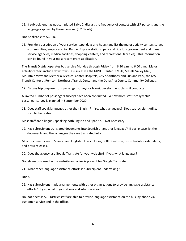15. If subrecipient has not completed Table 2, discuss the frequency of contact with LEP persons and the languages spoken by these persons. (5310 only)

Not Applicable to SCRTD.

16. Provide a description of your service (type, days and hours) and list the major activity centers served (communities, employers, Rail Runner Express stations, park and ride lots, government and human service agencies, medical facilities, shopping centers, and recreational facilities). This information can be found in your most recent grant application.

The Transit District operates bus service Monday through Friday from 6:30 a.m. to 6:00 p.m. Major activity centers include downtown Las Cruces via the MVITT Center, NMSU, Mesilla Valley Mall, Mountain View and Memorial Medical Center Hospitals, City of Anthony and Sunland Park, the NW Transit Center at Remcon, Northeast Transit Center and the Dona Ana County Community Colleges.

17. Discuss trip purpose from passenger surveys or transit development plans, if conducted.

A limited number of passengers surveys have been conducted. A new more statistically viable passenger survey is planned in September 2020.

18. Does staff speak languages other than English? If so, what languages? Does subrecipient utilize staff to translate?

Most staff are bilingual, speaking both English and Spanish. Not necessary.

19. Has subrecipient translated documents into Spanish or another language? If yes, please list the documents and the languages they are translated into.

Most documents are in Spanish and English. This includes, SCRTD website, bus schedules, rider alerts, and press releases.

20. Does the agency use Google Translate for your web site? If yes, what languages?

Google maps is used in the website and a link is present for Google Translate.

21. What other language assistance efforts is subrecipient undertaking?

None.

22. Has subrecipient made arrangements with other organizations to provide language assistance efforts? If yes, what organizations and what services?

No, not necessary. District staff are able to provide language assistance on the bus, by phone via customer service and in the office.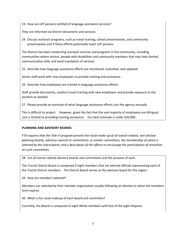23. How are LEP persons notified of language assistance services?

They are informed via District documents and services.

24. Discuss outreach programs, such as travel training, school presentations, and community presentations and if these efforts potentially reach LEP persons.

The District has been conducting outreach services and programs in the community, including communities where seniors, people with disabilities and community members that may have limited communication skills and need translation of services.

25. Describe how language assistance efforts are monitored, evaluated, and updated.

Senior staff work with new employees to provide training and assistance.

26. Describe how employees are trained in language assistance efforts.

Staff provide documents, conduct travel training with new employees and provide exposure to the position as needed.

27. Please provide an estimate of what language assistance efforts cost the agency annually.

This is difficult to project. However, given the fact that the vast majority of employees are bilingual, cost is limited to providing training assistance. Our best estimate is under \$20,000.

#### <span id="page-8-0"></span>**PLANNING AND ADVISORY BOARDS**

*FTA requires that the Title VI program present the racial make-up of all transit-related, non-elected planning boards, advisory councils or committees, or similar committees, the membership of which is selected by the subrecipient, and a description of the efforts to encourage the participation of minorities on such committees.*

28. List all transit-related advisory boards and committees and the purpose of each.

The Transit District Board is composed if eight members that are elected officials representing each of the Transit District members. The District Board serves as the advisory board for the region.

29. How are members selected?

Members our selected by their member organization usually following an election or when the members term expires.

30. What is the racial makeup of each board and committee?

Currently, the Board is composed of eight White members with five of the eight Hispanic.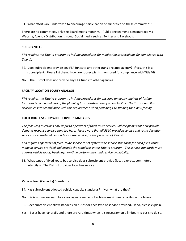31. What efforts are undertaken to encourage participation of minorities on these committees?

There are no committees, only the Board meets monthly. Public engagement is encouraged via Website, Agenda Distribution, through Social media such as Twitter and Facebook.

#### <span id="page-9-0"></span>**SUBGRANTEES**

*FTA requires the Title VI program to include procedures for monitoring subrecipients for compliance with Title VI.*

- 32. Does subrecipient provide any FTA funds to any other transit-related agency? If yes, this is a subrecipient. Please list them. How are subrecipients monitored for compliance with Title VI?
- No. The District does not provide any FTA funds to other agencies.

#### <span id="page-9-1"></span>**FACILITY LOCATION EQUITY ANALYSIS**

*FTA requires the Title VI program to include procedures for ensuring an equity analysis of facility locations is conducted during the planning for a construction of a new facility. The Transit and Rail Division ensures compliance with this requirement when providing FTA funding for a new facility.*

#### <span id="page-9-2"></span>**FIXED-ROUTE SYSTEMWIDE SERVICE STANDARDS**

*The following questions only apply to operators of fixed-route service. Subrecipients that only provide demand-response service can stop here. Please note that all 5310-provided service and route deviation service are considered demand-response service for the purposes of Title VI.*

*FTA requires operators of fixed-route service to set systemwide service standards for each fixed-route mode of service provided and include the standards in the Title VI program. The service standards must address vehicle loads, headways, on-time performance, and service availability.*

33. What types of fixed-route bus service does subrecipient provide (local, express, commuter, intercity)? The District provides local bus service.

#### **Vehicle Load (Capacity) Standards**

34. Has subrecipient adopted vehicle capacity standards? If yes, what are they?

No, this is not necessary. As a rural agency we do not achieve maximum capacity on our buses.

35. Does subrecipient allow standees on buses for each type of service provided? If no, please explain.

Yes. Buses have handrails and there are rare times when it is necessary on a limited trip basis to do so.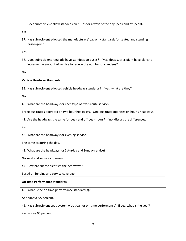36. Does subrecipient allow standees on buses for always of the day (peak and off-peak)?

Yes.

37. Has subrecipient adopted the manufacturers' capacity standards for seated and standing passengers?

Yes.

38. Does subrecipient regularly have standees on buses? If yes, does subrecipient have plans to increase the amount of service to reduce the number of standees?

No.

#### **Vehicle Headway Standards**

39. Has subrecipient adopted vehicle headway standards? If yes, what are they?

No.

40. What are the headways for each type of fixed-route service?

Three bus routes operated on two hour headways. One Bus route operates on hourly headways.

41. Are the headways the same for peak and off-peak hours? If no, discuss the differences.

Yes.

42. What are the headways for evening service?

The same as during the day.

43. What are the headways for Saturday and Sunday service?

No weekend service at present.

44. How has subrecipient set the headways?

Based on funding and service coverage.

#### **On-time Performance Standards**

45. What is the on-time performance standard(s)?

At or above 95 percent.

46. Has subrecipient set a systemwide goal for on-time performance? If yes, what is the goal?

Yes, above 95 percent.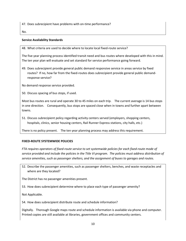47. Does subrecipient have problems with on-time performance?

No.

#### **Service Availability Standards**

48. What criteria are used to decide where to locate local fixed-route service?

The five year planning process identified transit need and bus routes where developed with this in mind. The ten year plan will evaluate and set standard for service performance going forward.

49. Does subrecipient provide general public demand responsive service in areas service by fixed routes? If no, how far from the fixed-routes does subrecipient provide general public demandresponse service?

No demand response service provided.

50. Discuss spacing of bus stops, if used.

Most bus routes are rural and operate 30 to 45 miles on each trip. The current average is 14 bus stops in one direction. Consequently, bus stops are spaced close when in towns and further apart between towns.

51. Discuss subrecipient policy regarding activity centers served (employers, shopping centers, hospitals, clinics, senior housing centers, Rail Runner Express stations, city halls, etc.)

There is no policy present. The ten year planning process may address this requirement.

#### <span id="page-11-0"></span>**FIXED-ROUTE SYSTEMWIDE POLICIES**

*FTA requires operators of fixed-route service to set systemwide policies for each fixed-route mode of service provided and include the policies in the Title VI program. The policies must address distribution of service amenities, such as passenger shelters, and the assignment of buses to garages and routes.*

52. Describe the passenger amenities, such as passenger shelters, benches, and waste receptacles and where are they located?

The District has no passenger amenities present.

53. How does subrecipient determine where to place each type of passenger amenity?

Not Applicable.

54. How does subrecipient distribute route and schedule information?

Digitally. Thorough Google maps route and schedule information is available via phone and computer. Printed copies are still available at libraries, government offices and community centers.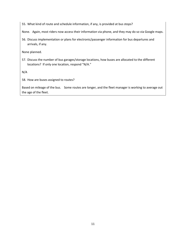55. What kind of route and schedule information, if any, is provided at bus stops?

None. Again, most riders now access their information via phone, and they may do so via Google maps.

56. Discuss implementation or plans for electronic/passenger information for bus departures and arrivals, if any.

None planned.

57. Discuss the number of bus garages/storage locations, how buses are allocated to the different locations? If only one location, respond "N/A."

N/A

58. How are buses assigned to routes?

Based on mileage of the bus. Some routes are longer, and the fleet manager is working to average out the age of the fleet.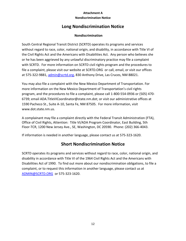# **Attachment A Nondiscrimination Notice**

# **Long Nondiscrimination Notice**

# **Nondiscrimination**

South Central Regional Transit District (SCRTD) operates its programs and services without regard to race, color, national origin, and disability, in accordance with Title VI of the Civil Rights Act and the Americans with Disabilities Act. Any person who believes she or he has been aggrieved by any unlawful discriminatory practice may file a complaint with SCRTD. For more information on SCRTD civil rights program and the procedures to file a complaint, please visit our website at SCRTD.ORG or call, email, or visit our offices at 575-322-9881, [admin@scrtd.org,](mailto:admin@scrtd.org) 830 Anthony Drive, Las Cruces, NM 88021.

You may also file a complaint with the New Mexico Department of Transportation. For more information on the New Mexico Department of Transportation's civil rights program, and the procedures to file a complaint, please call 1-800-554-0936 or (505) 470- 6739; email [ADA.TitleVICoordinator@state.nm.dot;](mailto:ADA.TitleVICoordinator@state.nm.dot) or visit our administrative offices at 1590 Pacheco St., Suite A-10, Santa Fe, NM 87505. For more information, visit [www.dot.state.nm.us.](http://www.dot.state.nm.us/)

A complainant may file a complaint directly with the Federal Transit Administration (FTA), Office of Civil Rights, Attention: Title VI/ADA Program Coordinator, East Building, 5th Floor-TCR, 1200 New Jersey Ave., SE, Washington, DC 20590. Phone: (202) 366-4043.

If information is needed in another language, please contact us at 575-323-1620.

# **Short Nondiscrimination Notice**

SCRTD operates its programs and services without regard to race, color, national origin, and disability in accordance with Title VI of the 1964 Civil Rights Act and the Americans with Disabilities Act of 1990. To find out more about our nondiscrimination obligations, to file a complaint, or to request this information in another language, please contact us at [ADMIN@SCRTD.ORG](mailto:ADMIN@SCRTD.ORG) or 575-323-1620.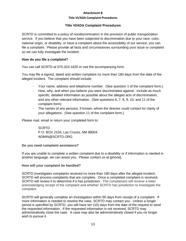#### **Title VI/ADA Complaint Procedures**

# **Title VI/ADA Complaint Procedures**

SCRTD is committed to a policy of nondiscrimination in the provision of public transportation service. If you believe that you have been subjected to discrimination due to your race, color, national origin, or disability, or have a complaint about the accessibility of our service, you can file a complaint. Please provide all facts and circumstances surrounding your issue or complaint so we can fully investigate the incident.

# **How do you file a complaint?**

You can call SCRTD at 575-323-1620 or use the accompanying form.

You may file a signed, dated and written complaint no more than 180 days from the date of the alleged incident. The complaint should include:

- Your name, address and telephone number. (See question 1 of the complaint form.)
- How, why, and when you believe you were discriminated against. Include as much specific, detailed information as possible about the alleged acts of discrimination, and any other relevant information. (See questions 6, 7, 8, 9, 10, and 11 of the complaint form)
- The names of any persons, if known, whom the director could contact for clarity of your allegations. (See question 11 of the complaint form.)

Please mail, email or return your completed form to:

**SCRTD** P.O. BOX 2104, Las Cruces, NM 88004 ADMIN@SCRTD.ORG

# **Do you need complaint assistance?**

If you are unable to complete a written complaint due to a disability or if information is needed in another language, we can assist you. Please contact us at [phone].

# **How will your complaint be handled?**

SCRTD investigates complaints received no more than 180 days after the alleged incident. SCRTD will process complaints that are complete. Once a completed complaint is received, SCRTD will review it to determine if it has jurisdiction. The complainant will receive a letter acknowledging receipt of the complaint and whether SCRTD has jurisdiction to investigate the complaint.

SCRTD will generally complete an investigation within 90 days from receipt of a complaint. If more information is needed to resolve the case, SCRTD may contact you. Unless a longer period is specified by SCRTD, you will have ten (10) days from the date of the request to send the requested information. If the requested information is not received, SCRTD may administratively close the case. A case may also be administratively closed if you no longer wish to pursue it.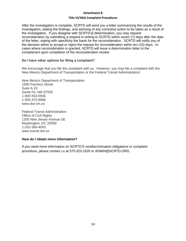#### **Title VI/ADA Complaint Procedures**

After the investigation is complete, SCRTD will send you a letter summarizing the results of the investigation, stating the findings, and advising of any corrective action to be taken as a result of the investigation. If you disagree with SCRTD's] determination, you may request reconsideration by submitting a request in writing to SCRTD within seven (7) days after the date of the letter, stating with specificity the basis for the reconsideration. SCRTD will notify you of the decision either to accept or reject the request for reconsideration within ten (10) days. In cases where reconsideration is granted, SCRTD will issue a determination letter to the complainant upon completion of the reconsideration review.

# **Do I have other options for filing a complaint?**

We encourage that you file the complaint with us. However, you may file a complaint with the New Mexico Department of Transportation or the Federal Transit Administration:

New Mexico Department of Transportation 1590 Pacheco Street Suite A-10 Santa Fe, NM 87505 1-800-554-0936 1-505-470-9668 www.dot.nm.us

Federal Transit Administration Office of Civil Rights 1200 New Jersey Avenue SE Washington, DC 20590 1-202-366-4043 www.transit.dot.us

# **How do I obtain more information?**

If you need more information on SCRTD'S nondiscrimination obligations or complaint procedure, please contact us at 575-323-1620 or ADMIN@SCRTD.ORG.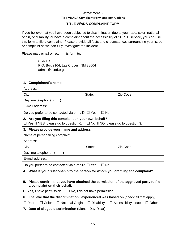#### **Title VI/ADA Complaint Form and Instructions**

# **TITLE VI/ADA COMPLAINT FORM**

If you believe that you have been subjected to discrimination due to your race, color, national origin, or disability, or have a complaint about the accessibility of SCRTD service, you can use this form to file a complaint. Please provide all facts and circumstances surrounding your issue or complaint so we can fully investigate the incident.

Please mail, email or return this form to:

**SCRTD** P.O. Box 2104, Las Cruces, NM 88004 admin@scrtd.org

| 1. Complainant's name:                                                                                                 |                                                       |                            |              |  |
|------------------------------------------------------------------------------------------------------------------------|-------------------------------------------------------|----------------------------|--------------|--|
| Address:                                                                                                               |                                                       |                            |              |  |
| City:                                                                                                                  | State:                                                | Zip Code:                  |              |  |
| Daytime telephone: (<br>$\lambda$                                                                                      |                                                       |                            |              |  |
| E-mail address:                                                                                                        |                                                       |                            |              |  |
| Do you prefer to be contacted via e-mail? $\Box$ Yes                                                                   | $\Box$ No                                             |                            |              |  |
| 2. Are you filing this complaint on your own behalf?                                                                   |                                                       |                            |              |  |
| $\Box$ Yes If YES, please go to question 6. $\Box$ No If NO, please go to question 3.                                  |                                                       |                            |              |  |
| 3. Please provide your name and address.                                                                               |                                                       |                            |              |  |
| Name of person filing complaint:                                                                                       |                                                       |                            |              |  |
| Address:                                                                                                               |                                                       |                            |              |  |
| City:                                                                                                                  | State:                                                | Zip Code:                  |              |  |
| Daytime telephone: (                                                                                                   |                                                       |                            |              |  |
| E-mail address:                                                                                                        |                                                       |                            |              |  |
| $\Box$ No<br>Do you prefer to be contacted via e-mail? $\Box$ Yes                                                      |                                                       |                            |              |  |
| 4. What is your relationship to the person for whom you are filing the complaint?                                      |                                                       |                            |              |  |
|                                                                                                                        |                                                       |                            |              |  |
| 5. Please confirm that you have obtained the permission of the aggrieved party to file<br>a complaint on their behalf. |                                                       |                            |              |  |
| $\Box$ No, I do not have permission<br>$\Box$ Yes, I have permission.                                                  |                                                       |                            |              |  |
| I believe that the discrimination I experienced was based on (check all that apply).<br>6.                             |                                                       |                            |              |  |
| $\Box$ National Origin<br>$\Box$ Race<br>$\Box$ Color                                                                  | $\Box$ Disability                                     | $\Box$ Accessibility Issue | $\Box$ Other |  |
|                                                                                                                        | 7. Date of alleged discrimination (Month, Day, Year): |                            |              |  |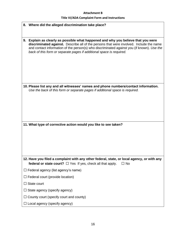# **Title VI/ADA Complaint Form and Instructions**

|    | 8. Where did the alleged discrimination take place?                                                                                                                                                                                                                                                                                             |
|----|-------------------------------------------------------------------------------------------------------------------------------------------------------------------------------------------------------------------------------------------------------------------------------------------------------------------------------------------------|
|    |                                                                                                                                                                                                                                                                                                                                                 |
| 9. | Explain as clearly as possible what happened and why you believe that you were<br>discriminated against. Describe all of the persons that were involved. Include the name<br>and contact information of the person(s) who discriminated against you (if known). Use the<br>back of this form or separate pages if additional space is required. |
|    | 10. Please list any and all witnesses' names and phone numbers/contact information.<br>Use the back of this form or separate pages if additional space is required.                                                                                                                                                                             |
|    | 11. What type of corrective action would you like to see taken?                                                                                                                                                                                                                                                                                 |
|    | 12. Have you filed a complaint with any other federal, state, or local agency, or with any                                                                                                                                                                                                                                                      |
|    | federal or state court? $\Box$ Yes If yes, check all that apply.<br>$\Box$ No                                                                                                                                                                                                                                                                   |
|    | $\Box$ Federal agency (list agency's name)                                                                                                                                                                                                                                                                                                      |
|    | $\Box$ Federal court (provide location)                                                                                                                                                                                                                                                                                                         |
|    | $\Box$ State court                                                                                                                                                                                                                                                                                                                              |
|    | $\Box$ State agency (specify agency)                                                                                                                                                                                                                                                                                                            |
|    | $\Box$ County court (specify court and county)                                                                                                                                                                                                                                                                                                  |
|    | $\Box$ Local agency (specify agency)                                                                                                                                                                                                                                                                                                            |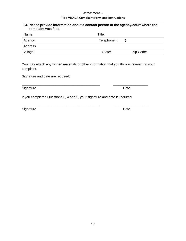#### **Title VI/ADA Complaint Form and Instructions**

| 13. Please provide information about a contact person at the agency/court where the<br>complaint was filed. |                     |  |  |  |
|-------------------------------------------------------------------------------------------------------------|---------------------|--|--|--|
| Name:                                                                                                       | Title:              |  |  |  |
| Agency:                                                                                                     | Telephone: (        |  |  |  |
| Address                                                                                                     |                     |  |  |  |
| Village:                                                                                                    | State:<br>Zip Code: |  |  |  |

You may attach any written materials or other information that you think is relevant to your complaint.

\_\_\_\_\_\_\_\_\_\_\_\_\_\_\_\_\_\_\_\_\_\_\_\_\_\_\_\_\_\_\_\_\_\_\_\_\_\_\_\_\_\_ \_\_\_\_\_\_\_\_\_\_\_\_\_\_\_\_\_\_\_

\_\_\_\_\_\_\_\_\_\_\_\_\_\_\_\_\_\_\_\_\_\_\_\_\_\_\_\_\_\_\_\_\_\_\_\_\_\_\_\_\_\_ \_\_\_\_\_\_\_\_\_\_\_\_\_\_\_\_\_\_\_

Signature and date are required:

Signature Date Date

If you completed Questions 3, 4 and 5, your signature and date is required

Signature Date **Date**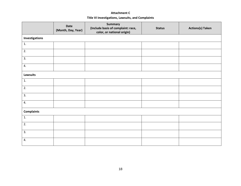# **Attachment C Title VI Investigations, Lawsuits, and Complaints**

|                   | <b>Date</b><br>(Month, Day, Year) | <b>Summary</b><br>(Include basis of complaint: race,<br>color, or national origin) | <b>Status</b> | <b>Actions(s) Taken</b> |  |  |  |
|-------------------|-----------------------------------|------------------------------------------------------------------------------------|---------------|-------------------------|--|--|--|
| Investigations    |                                   |                                                                                    |               |                         |  |  |  |
| 1.                |                                   |                                                                                    |               |                         |  |  |  |
| 2.                |                                   |                                                                                    |               |                         |  |  |  |
| 3.                |                                   |                                                                                    |               |                         |  |  |  |
| 4.                |                                   |                                                                                    |               |                         |  |  |  |
| <b>Lawsuits</b>   |                                   |                                                                                    |               |                         |  |  |  |
| 1.                |                                   |                                                                                    |               |                         |  |  |  |
| 2.                |                                   |                                                                                    |               |                         |  |  |  |
| 3.                |                                   |                                                                                    |               |                         |  |  |  |
| 4.                |                                   |                                                                                    |               |                         |  |  |  |
| <b>Complaints</b> |                                   |                                                                                    |               |                         |  |  |  |
| 1.                |                                   |                                                                                    |               |                         |  |  |  |
| $\overline{2}$ .  |                                   |                                                                                    |               |                         |  |  |  |
| 3.                |                                   |                                                                                    |               |                         |  |  |  |
| 4.                |                                   |                                                                                    |               |                         |  |  |  |